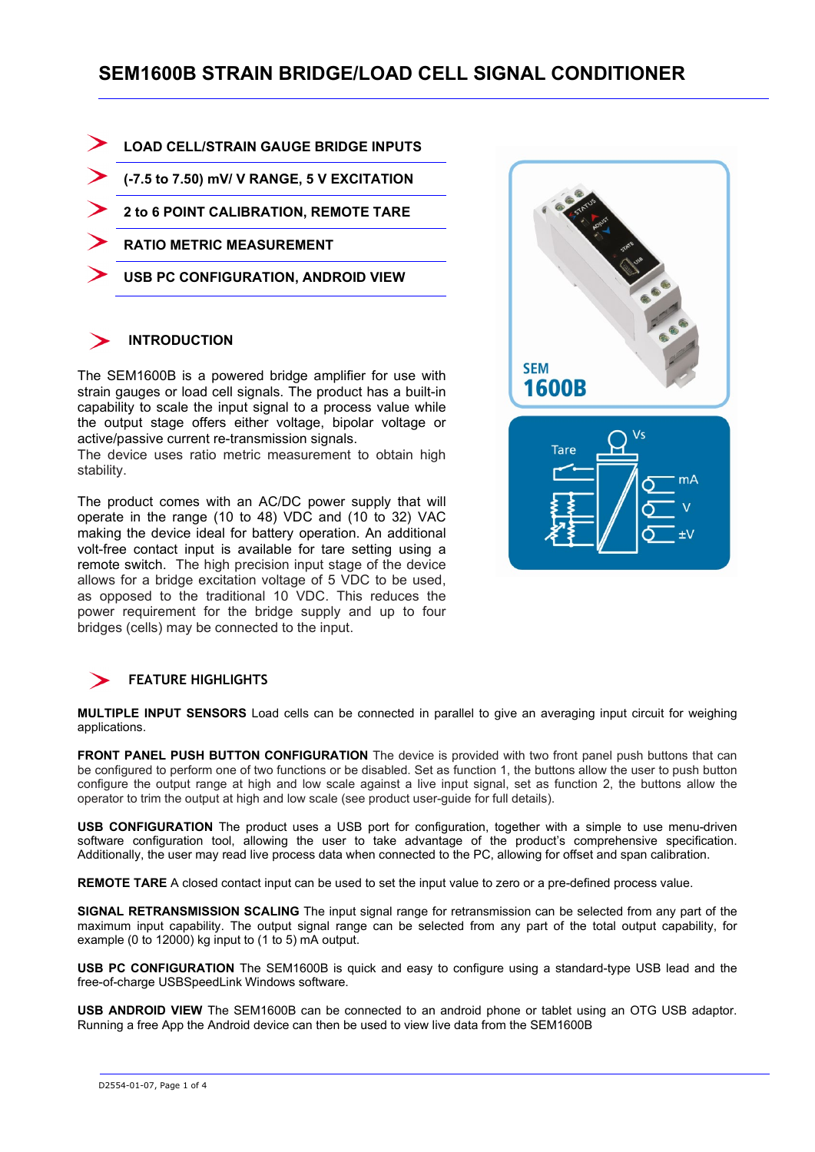# **SEM1600B STRAIN BRIDGE/LOAD CELL SIGNAL CONDITIONER**

- **LOAD CELL/STRAIN GAUGE BRIDGE INPUTS**
- **(-7.5 to 7.50) mV/ V RANGE, 5 V EXCITATION**
- **2 to 6 POINT CALIBRATION, REMOTE TARE**
- **RATIO METRIC MEASUREMENT**
- **USB PC CONFIGURATION, ANDROID VIEW**

### **INTRODUCTION**

The SEM1600B is a powered bridge amplifier for use with strain gauges or load cell signals. The product has a built-in capability to scale the input signal to a process value while the output stage offers either voltage, bipolar voltage or active/passive current re-transmission signals.

The device uses ratio metric measurement to obtain high stability.

The product comes with an AC/DC power supply that will operate in the range (10 to 48) VDC and (10 to 32) VAC making the device ideal for battery operation. An additional volt-free contact input is available for tare setting using a remote switch. The high precision input stage of the device allows for a bridge excitation voltage of 5 VDC to be used, as opposed to the traditional 10 VDC. This reduces the power requirement for the bridge supply and up to four bridges (cells) may be connected to the input.



### **FEATURE HIGHLIGHTS**

**MULTIPLE INPUT SENSORS** Load cells can be connected in parallel to give an averaging input circuit for weighing applications.

**FRONT PANEL PUSH BUTTON CONFIGURATION** The device is provided with two front panel push buttons that can be configured to perform one of two functions or be disabled. Set as function 1, the buttons allow the user to push button configure the output range at high and low scale against a live input signal, set as function 2, the buttons allow the operator to trim the output at high and low scale (see product user-guide for full details).

**USB CONFIGURATION** The product uses a USB port for configuration, together with a simple to use menu-driven software configuration tool, allowing the user to take advantage of the product's comprehensive specification. Additionally, the user may read live process data when connected to the PC, allowing for offset and span calibration.

**REMOTE TARE** A closed contact input can be used to set the input value to zero or a pre-defined process value.

**SIGNAL RETRANSMISSION SCALING** The input signal range for retransmission can be selected from any part of the maximum input capability. The output signal range can be selected from any part of the total output capability, for example (0 to 12000) kg input to (1 to 5) mA output.

**USB PC CONFIGURATION** The SEM1600B is quick and easy to configure using a standard-type USB lead and the free-of-charge USBSpeedLink Windows software.

**USB ANDROID VIEW** The SEM1600B can be connected to an android phone or tablet using an OTG USB adaptor. Running a free App the Android device can then be used to view live data from the SEM1600B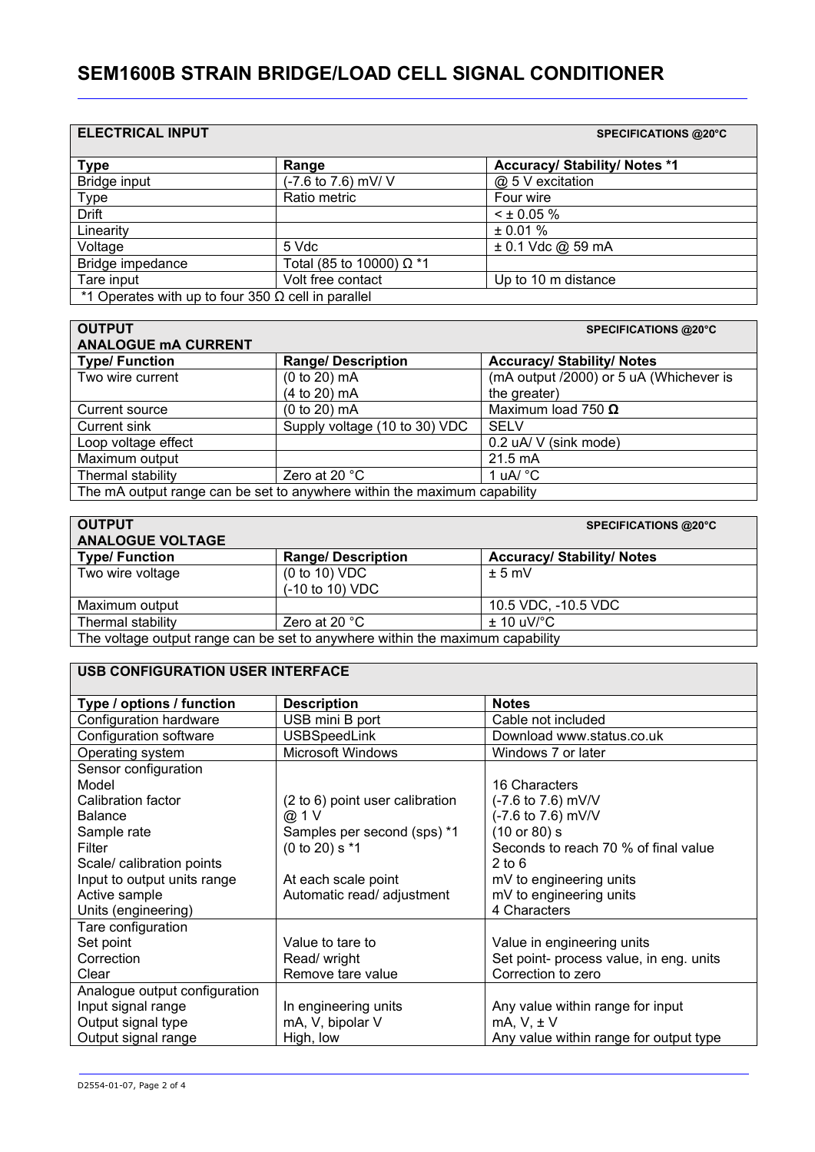# **SEM1600B STRAIN BRIDGE/LOAD CELL SIGNAL CONDITIONER**

| <b>ELECTRICAL INPUT</b>                                        |                                 | <b>SPECIFICATIONS @20°C</b>          |
|----------------------------------------------------------------|---------------------------------|--------------------------------------|
| <b>Type</b>                                                    | Range                           | <b>Accuracy/ Stability/ Notes *1</b> |
| Bridge input                                                   | (-7.6 to 7.6) mV/ V             | @ 5 V excitation                     |
| <b>Type</b>                                                    | Ratio metric                    | Four wire                            |
| <b>Drift</b>                                                   |                                 | $<$ ± 0.05 %                         |
| Linearity                                                      |                                 | ± 0.01 %                             |
| Voltage                                                        | 5 Vdc                           | $± 0.1$ Vdc @ 59 mA                  |
| Bridge impedance                                               | Total (85 to 10000) $\Omega$ *1 |                                      |
| Tare input                                                     | Volt free contact               | Up to 10 m distance                  |
| <sup>*</sup> 1 Operates with up to four 350 Ω cell in parallel |                                 |                                      |

| <b>OUTPUT</b>                                                            |                               | <b>SPECIFICATIONS @20°C</b>             |
|--------------------------------------------------------------------------|-------------------------------|-----------------------------------------|
| <b>ANALOGUE MA CURRENT</b>                                               |                               |                                         |
| <b>Type/Function</b>                                                     | <b>Range/Description</b>      | <b>Accuracy/ Stability/ Notes</b>       |
| Two wire current                                                         | (0 to 20) mA                  | (mA output /2000) or 5 uA (Whichever is |
|                                                                          | (4 to 20) mA                  | the greater)                            |
| Current source                                                           | (0 to 20) mA                  | Maximum load 750 $\Omega$               |
| Current sink                                                             | Supply voltage (10 to 30) VDC | <b>SELV</b>                             |
| Loop voltage effect                                                      |                               | 0.2 uA/ V (sink mode)                   |
| Maximum output                                                           |                               | $21.5 \text{ mA}$                       |
| Thermal stability                                                        | Zero at 20 $\degree$ C        | 1 uA/ $^{\circ}$ C                      |
| The mA output range can be set to anywhere within the maximum capability |                               |                                         |

| <b>OUTPUT</b>                                                                 |                          | <b>SPECIFICATIONS @20°C</b>       |
|-------------------------------------------------------------------------------|--------------------------|-----------------------------------|
| <b>ANALOGUE VOLTAGE</b>                                                       |                          |                                   |
| <b>Type/Function</b>                                                          | <b>Range/Description</b> | <b>Accuracy/ Stability/ Notes</b> |
| Two wire voltage                                                              | (0 to 10) VDC            | $± 5$ mV                          |
|                                                                               | (-10 to 10) VDC          |                                   |
| Maximum output                                                                |                          | 10.5 VDC, -10.5 VDC               |
| Thermal stability                                                             | Zero at 20 $°C$          | $± 10$ uV/ $°C$                   |
| The voltage output range can be set to anywhere within the maximum capability |                          |                                   |

## **USB CONFIGURATION USER INTERFACE**

| Type / options / function     | <b>Description</b>              | <b>Notes</b>                            |
|-------------------------------|---------------------------------|-----------------------------------------|
| Configuration hardware        | USB mini B port                 | Cable not included                      |
| Configuration software        | <b>USBSpeedLink</b>             | Download www.status.co.uk               |
| Operating system              | <b>Microsoft Windows</b>        | Windows 7 or later                      |
| Sensor configuration          |                                 |                                         |
| Model                         |                                 | 16 Characters                           |
| Calibration factor            | (2 to 6) point user calibration | (-7.6 to 7.6) mV/V                      |
| <b>Balance</b>                | @ 1 V                           | (-7.6 to 7.6) mV/V                      |
| Sample rate                   | Samples per second (sps) *1     | (10 or 80) s                            |
| Filter                        | $(0 to 20)$ s $*1$              | Seconds to reach 70 % of final value    |
| Scale/ calibration points     |                                 | $2$ to 6                                |
| Input to output units range   | At each scale point             | mV to engineering units                 |
| Active sample                 | Automatic read/ adjustment      | mV to engineering units                 |
| Units (engineering)           |                                 | 4 Characters                            |
| Tare configuration            |                                 |                                         |
| Set point                     | Value to tare to                | Value in engineering units              |
| Correction                    | Read/ wright                    | Set point- process value, in eng. units |
| Clear                         | Remove tare value               | Correction to zero                      |
| Analogue output configuration |                                 |                                         |
| Input signal range            | In engineering units            | Any value within range for input        |
| Output signal type            | mA, V, bipolar V                | mA, V, ± V                              |
| Output signal range           | High, low                       | Any value within range for output type  |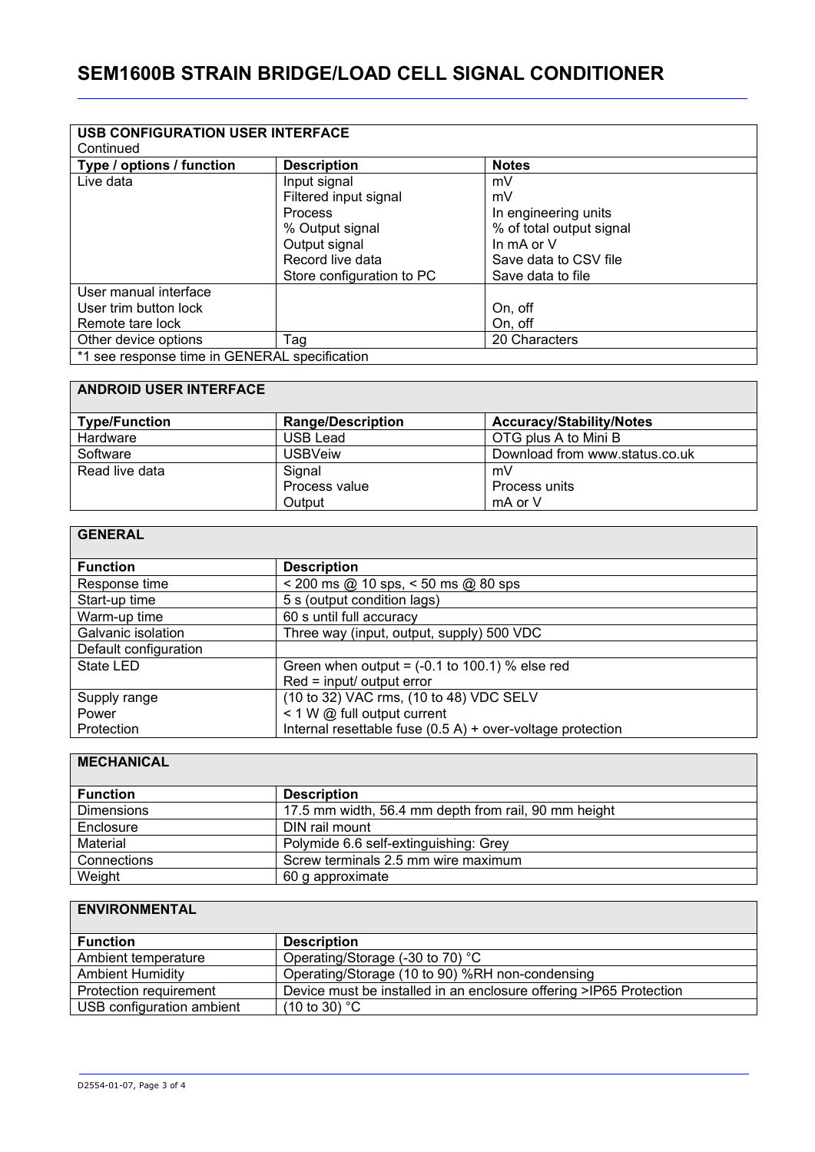# **SEM1600B STRAIN BRIDGE/LOAD CELL SIGNAL CONDITIONER**

| <b>USB CONFIGURATION USER INTERFACE</b>       |                           |                          |
|-----------------------------------------------|---------------------------|--------------------------|
| Continued                                     |                           |                          |
| Type / options / function                     | <b>Description</b>        | <b>Notes</b>             |
| Live data                                     | Input signal              | mV                       |
|                                               | Filtered input signal     | mV                       |
|                                               | <b>Process</b>            | In engineering units     |
|                                               | % Output signal           | % of total output signal |
|                                               | Output signal             | In $mA$ or $V$           |
|                                               | Record live data          | Save data to CSV file    |
|                                               | Store configuration to PC | Save data to file        |
| User manual interface                         |                           |                          |
| User trim button lock                         |                           | On, off                  |
| Remote tare lock                              |                           | On, off                  |
| Other device options                          | Tag                       | 20 Characters            |
| *1 see response time in GENERAL specification |                           |                          |

#### **ANDROID USER INTERFACE**

| <b>Type/Function</b> | <b>Range/Description</b> | <b>Accuracy/Stability/Notes</b> |
|----------------------|--------------------------|---------------------------------|
| Hardware             | USB Lead                 | OTG plus A to Mini B            |
| Software             | USBVeiw                  | Download from www.status.co.uk  |
| Read live data       | Signal                   | mV                              |
|                      | Process value            | Process units                   |
|                      | Output                   | mA or V                         |

### **GENERAL**

| <b>Function</b>       | <b>Description</b>                                           |
|-----------------------|--------------------------------------------------------------|
| Response time         | $<$ 200 ms @ 10 sps, $<$ 50 ms @ 80 sps                      |
| Start-up time         | 5 s (output condition lags)                                  |
| Warm-up time          | 60 s until full accuracy                                     |
| Galvanic isolation    | Three way (input, output, supply) 500 VDC                    |
| Default configuration |                                                              |
| State LED             | Green when output = $(-0.1$ to 100.1) % else red             |
|                       | Red = input/ output error                                    |
| Supply range          | (10 to 32) VAC rms, (10 to 48) VDC SELV                      |
| Power                 | < 1 W @ full output current                                  |
| Protection            | Internal resettable fuse $(0.5 A)$ + over-voltage protection |

#### **MECHANICAL**

| <b>Function</b>   | <b>Description</b>                                   |
|-------------------|------------------------------------------------------|
| <b>Dimensions</b> | 17.5 mm width, 56.4 mm depth from rail, 90 mm height |
| Enclosure         | DIN rail mount                                       |
| Material          | Polymide 6.6 self-extinguishing: Grey                |
| Connections       | Screw terminals 2.5 mm wire maximum                  |
| Weight            | 60 g approximate                                     |

## **ENVIRONMENTAL**

| <b>Function</b>           | <b>Description</b>                                                 |
|---------------------------|--------------------------------------------------------------------|
| Ambient temperature       | Operating/Storage (-30 to 70) °C                                   |
| <b>Ambient Humidity</b>   | Operating/Storage (10 to 90) %RH non-condensing                    |
| Protection requirement    | Device must be installed in an enclosure offering >IP65 Protection |
| USB configuration ambient | $(10 \text{ to } 30)$ °C                                           |